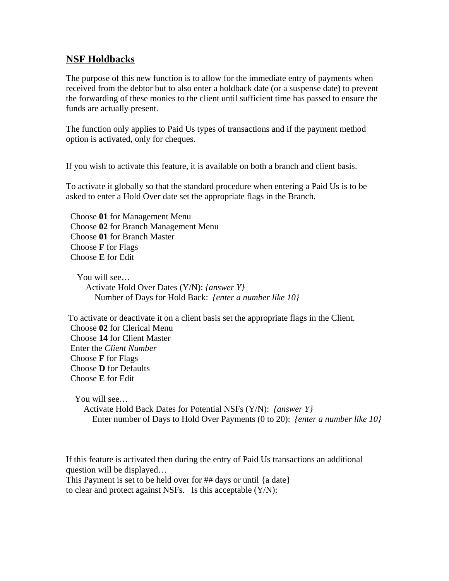## **NSF Holdbacks**

The purpose of this new function is to allow for the immediate entry of payments when received from the debtor but to also enter a holdback date (or a suspense date) to prevent the forwarding of these monies to the client until sufficient time has passed to ensure the funds are actually present.

The function only applies to Paid Us types of transactions and if the payment method option is activated, only for cheques.

If you wish to activate this feature, it is available on both a branch and client basis.

To activate it globally so that the standard procedure when entering a Paid Us is to be asked to enter a Hold Over date set the appropriate flags in the Branch.

 Choose **01** for Management Menu Choose **02** for Branch Management Menu Choose **01** for Branch Master Choose **F** for Flags Choose **E** for Edit

 You will see… Activate Hold Over Dates (Y/N): *{answer Y}* Number of Days for Hold Back: *{enter a number like 10}*

 To activate or deactivate it on a client basis set the appropriate flags in the Client. Choose **02** for Clerical Menu Choose **14** for Client Master Enter the *Client Number* Choose **F** for Flags Choose **D** for Defaults Choose **E** for Edit

You will see…

 Activate Hold Back Dates for Potential NSFs (Y/N): *{answer Y}* Enter number of Days to Hold Over Payments (0 to 20): *{enter a number like 10}*

If this feature is activated then during the entry of Paid Us transactions an additional question will be displayed…

This Payment is set to be held over for ## days or until {a date} to clear and protect against NSFs. Is this acceptable (Y/N):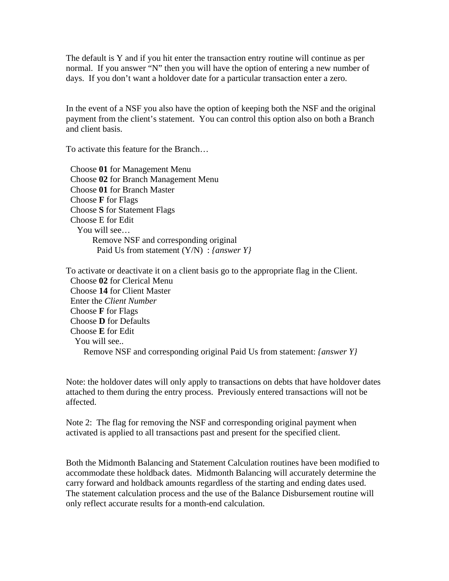The default is Y and if you hit enter the transaction entry routine will continue as per normal. If you answer "N" then you will have the option of entering a new number of days. If you don't want a holdover date for a particular transaction enter a zero.

In the event of a NSF you also have the option of keeping both the NSF and the original payment from the client's statement. You can control this option also on both a Branch and client basis.

To activate this feature for the Branch…

 Choose **01** for Management Menu Choose **02** for Branch Management Menu Choose **01** for Branch Master Choose **F** for Flags Choose **S** for Statement Flags Choose E for Edit You will see… Remove NSF and corresponding original Paid Us from statement (Y/N) : *{answer Y}*

To activate or deactivate it on a client basis go to the appropriate flag in the Client. Choose **02** for Clerical Menu Choose **14** for Client Master Enter the *Client Number* Choose **F** for Flags Choose **D** for Defaults Choose **E** for Edit You will see.. Remove NSF and corresponding original Paid Us from statement: *{answer Y}* 

Note: the holdover dates will only apply to transactions on debts that have holdover dates attached to them during the entry process. Previously entered transactions will not be affected.

Note 2: The flag for removing the NSF and corresponding original payment when activated is applied to all transactions past and present for the specified client.

Both the Midmonth Balancing and Statement Calculation routines have been modified to accommodate these holdback dates. Midmonth Balancing will accurately determine the carry forward and holdback amounts regardless of the starting and ending dates used. The statement calculation process and the use of the Balance Disbursement routine will only reflect accurate results for a month-end calculation.